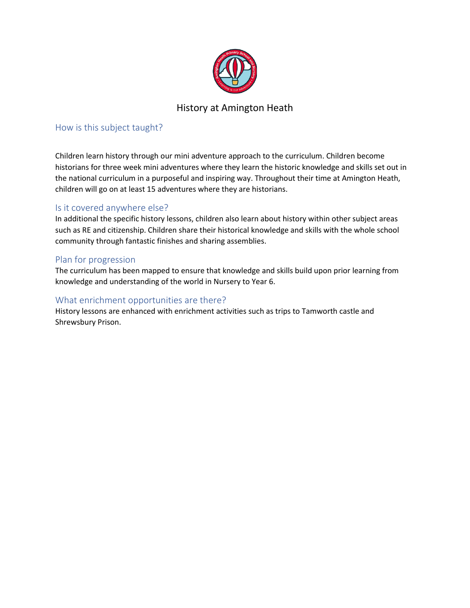

# History at Amington Heath

## How is this subject taught?

Children learn history through our mini adventure approach to the curriculum. Children become historians for three week mini adventures where they learn the historic knowledge and skills set out in the national curriculum in a purposeful and inspiring way. Throughout their time at Amington Heath, children will go on at least 15 adventures where they are historians.

### Is it covered anywhere else?

In additional the specific history lessons, children also learn about history within other subject areas such as RE and citizenship. Children share their historical knowledge and skills with the whole school community through fantastic finishes and sharing assemblies.

### Plan for progression

The curriculum has been mapped to ensure that knowledge and skills build upon prior learning from knowledge and understanding of the world in Nursery to Year 6.

### What enrichment opportunities are there?

History lessons are enhanced with enrichment activities such as trips to Tamworth castle and Shrewsbury Prison.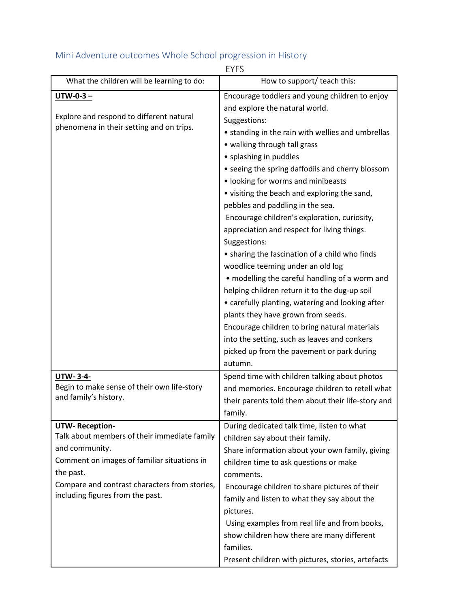#### EYFS What the children will be learning to do:  $\parallel$  How to support/ teach this: **UTW-0-3 –** Explore and respond to different natural phenomena in their setting and on trips. Encourage toddlers and young children to enjoy and explore the natural world. Suggestions: • standing in the rain with wellies and umbrellas • walking through tall grass • splashing in puddles • seeing the spring daffodils and cherry blossom • looking for worms and minibeasts • visiting the beach and exploring the sand, pebbles and paddling in the sea. Encourage children's exploration, curiosity, appreciation and respect for living things. Suggestions: • sharing the fascination of a child who finds woodlice teeming under an old log • modelling the careful handling of a worm and helping children return it to the dug-up soil • carefully planting, watering and looking after plants they have grown from seeds. Encourage children to bring natural materials into the setting, such as leaves and conkers picked up from the pavement or park during autumn. **UTW- 3-4-** Begin to make sense of their own life-story and family's history. Spend time with children talking about photos and memories. Encourage children to retell what their parents told them about their life-story and family. **UTW- Reception-**Talk about members of their immediate family and community. Comment on images of familiar situations in the past. Compare and contrast characters from stories, including figures from the past. During dedicated talk time, listen to what children say about their family. Share information about your own family, giving children time to ask questions or make comments. Encourage children to share pictures of their family and listen to what they say about the pictures. Using examples from real life and from books, show children how there are many different families.

Present children with pictures, stories, artefacts

## Mini Adventure outcomes Whole School progression in History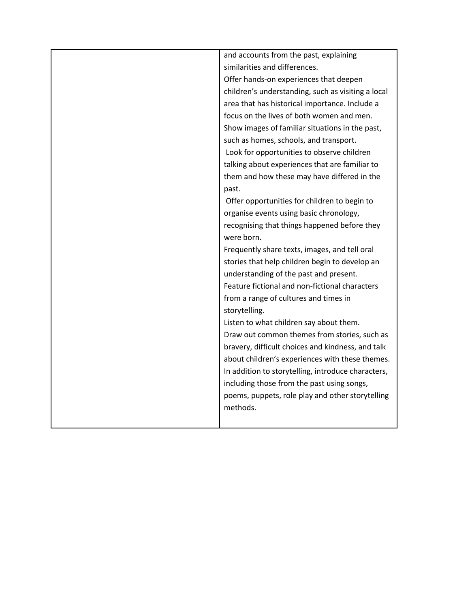| and accounts from the past, explaining             |
|----------------------------------------------------|
| similarities and differences.                      |
| Offer hands-on experiences that deepen             |
| children's understanding, such as visiting a local |
| area that has historical importance. Include a     |
| focus on the lives of both women and men.          |
| Show images of familiar situations in the past,    |
| such as homes, schools, and transport.             |
| Look for opportunities to observe children         |
| talking about experiences that are familiar to     |
| them and how these may have differed in the        |
| past.                                              |
| Offer opportunities for children to begin to       |
| organise events using basic chronology,            |
| recognising that things happened before they       |
| were born.                                         |
| Frequently share texts, images, and tell oral      |
| stories that help children begin to develop an     |
| understanding of the past and present.             |
| Feature fictional and non-fictional characters     |
| from a range of cultures and times in              |
| storytelling.                                      |
| Listen to what children say about them.            |
| Draw out common themes from stories, such as       |
| bravery, difficult choices and kindness, and talk  |
| about children's experiences with these themes.    |
| In addition to storytelling, introduce characters, |
| including those from the past using songs,         |
| poems, puppets, role play and other storytelling   |
| methods.                                           |
|                                                    |
|                                                    |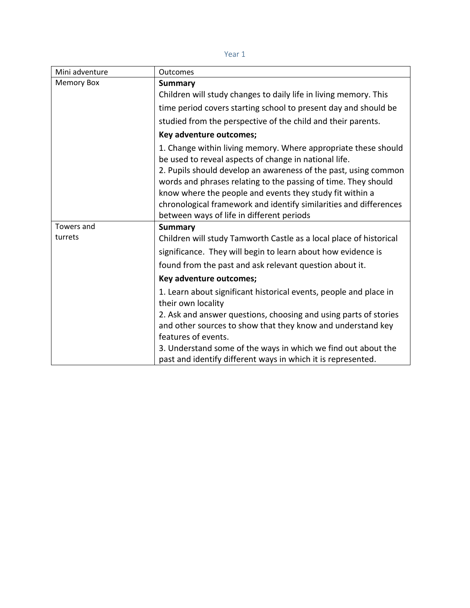| Mini adventure    | <b>Outcomes</b>                                                                                                                 |
|-------------------|---------------------------------------------------------------------------------------------------------------------------------|
| <b>Memory Box</b> | <b>Summary</b>                                                                                                                  |
|                   | Children will study changes to daily life in living memory. This                                                                |
|                   | time period covers starting school to present day and should be                                                                 |
|                   | studied from the perspective of the child and their parents.                                                                    |
|                   | Key adventure outcomes;                                                                                                         |
|                   | 1. Change within living memory. Where appropriate these should<br>be used to reveal aspects of change in national life.         |
|                   | 2. Pupils should develop an awareness of the past, using common                                                                 |
|                   | words and phrases relating to the passing of time. They should                                                                  |
|                   | know where the people and events they study fit within a<br>chronological framework and identify similarities and differences   |
|                   | between ways of life in different periods                                                                                       |
| Towers and        | <b>Summary</b>                                                                                                                  |
| turrets           | Children will study Tamworth Castle as a local place of historical                                                              |
|                   | significance. They will begin to learn about how evidence is                                                                    |
|                   | found from the past and ask relevant question about it.                                                                         |
|                   | Key adventure outcomes;                                                                                                         |
|                   | 1. Learn about significant historical events, people and place in                                                               |
|                   | their own locality                                                                                                              |
|                   | 2. Ask and answer questions, choosing and using parts of stories<br>and other sources to show that they know and understand key |
|                   | features of events.                                                                                                             |
|                   | 3. Understand some of the ways in which we find out about the                                                                   |
|                   | past and identify different ways in which it is represented.                                                                    |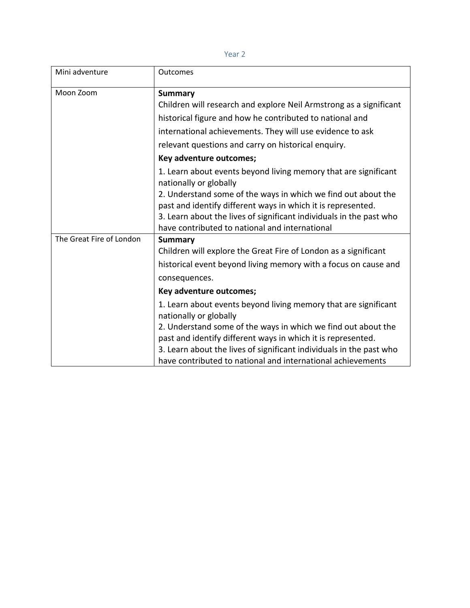|   | w |  |
|---|---|--|
| × |   |  |

| Mini adventure           | Outcomes                                                                                                                                                                                                                                                                                                                                                                                                                                 |
|--------------------------|------------------------------------------------------------------------------------------------------------------------------------------------------------------------------------------------------------------------------------------------------------------------------------------------------------------------------------------------------------------------------------------------------------------------------------------|
| Moon Zoom                | <b>Summary</b><br>Children will research and explore Neil Armstrong as a significant<br>historical figure and how he contributed to national and<br>international achievements. They will use evidence to ask<br>relevant questions and carry on historical enquiry.                                                                                                                                                                     |
|                          | Key adventure outcomes;                                                                                                                                                                                                                                                                                                                                                                                                                  |
| The Great Fire of London | 1. Learn about events beyond living memory that are significant<br>nationally or globally<br>2. Understand some of the ways in which we find out about the<br>past and identify different ways in which it is represented.<br>3. Learn about the lives of significant individuals in the past who<br>have contributed to national and international<br><b>Summary</b><br>Children will explore the Great Fire of London as a significant |
|                          | historical event beyond living memory with a focus on cause and<br>consequences.                                                                                                                                                                                                                                                                                                                                                         |
|                          | Key adventure outcomes;                                                                                                                                                                                                                                                                                                                                                                                                                  |
|                          | 1. Learn about events beyond living memory that are significant<br>nationally or globally<br>2. Understand some of the ways in which we find out about the<br>past and identify different ways in which it is represented.<br>3. Learn about the lives of significant individuals in the past who<br>have contributed to national and international achievements                                                                         |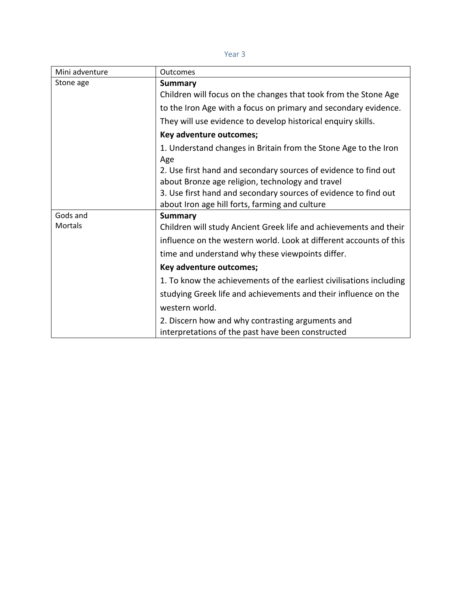| w |
|---|
|---|

| Mini adventure | <b>Outcomes</b>                                                     |
|----------------|---------------------------------------------------------------------|
| Stone age      | <b>Summary</b>                                                      |
|                | Children will focus on the changes that took from the Stone Age     |
|                | to the Iron Age with a focus on primary and secondary evidence.     |
|                | They will use evidence to develop historical enquiry skills.        |
|                | Key adventure outcomes;                                             |
|                | 1. Understand changes in Britain from the Stone Age to the Iron     |
|                | Age                                                                 |
|                | 2. Use first hand and secondary sources of evidence to find out     |
|                | about Bronze age religion, technology and travel                    |
|                | 3. Use first hand and secondary sources of evidence to find out     |
|                | about Iron age hill forts, farming and culture                      |
| Gods and       | <b>Summary</b>                                                      |
| Mortals        | Children will study Ancient Greek life and achievements and their   |
|                | influence on the western world. Look at different accounts of this  |
|                | time and understand why these viewpoints differ.                    |
|                | Key adventure outcomes;                                             |
|                | 1. To know the achievements of the earliest civilisations including |
|                | studying Greek life and achievements and their influence on the     |
|                | western world.                                                      |
|                | 2. Discern how and why contrasting arguments and                    |
|                | interpretations of the past have been constructed                   |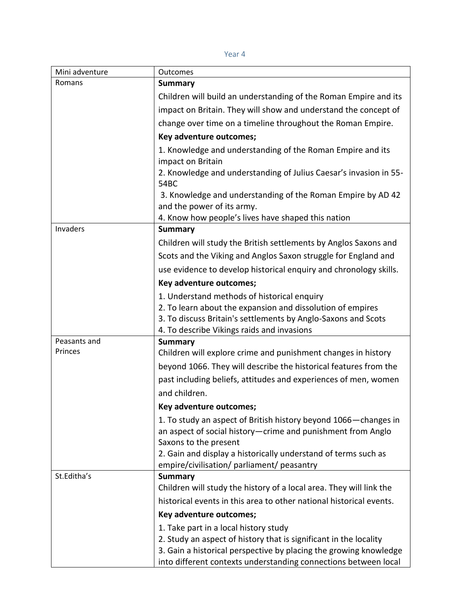| Mini adventure | Outcomes                                                                                                     |
|----------------|--------------------------------------------------------------------------------------------------------------|
| Romans         | <b>Summary</b>                                                                                               |
|                | Children will build an understanding of the Roman Empire and its                                             |
|                | impact on Britain. They will show and understand the concept of                                              |
|                | change over time on a timeline throughout the Roman Empire.                                                  |
|                | Key adventure outcomes;                                                                                      |
|                | 1. Knowledge and understanding of the Roman Empire and its                                                   |
|                | impact on Britain                                                                                            |
|                | 2. Knowledge and understanding of Julius Caesar's invasion in 55-<br>54BC                                    |
|                | 3. Knowledge and understanding of the Roman Empire by AD 42                                                  |
|                | and the power of its army.<br>4. Know how people's lives have shaped this nation                             |
| Invaders       | <b>Summary</b>                                                                                               |
|                | Children will study the British settlements by Anglos Saxons and                                             |
|                | Scots and the Viking and Anglos Saxon struggle for England and                                               |
|                | use evidence to develop historical enquiry and chronology skills.                                            |
|                | Key adventure outcomes;                                                                                      |
|                | 1. Understand methods of historical enquiry                                                                  |
|                | 2. To learn about the expansion and dissolution of empires                                                   |
|                | 3. To discuss Britain's settlements by Anglo-Saxons and Scots                                                |
|                | 4. To describe Vikings raids and invasions                                                                   |
| Peasants and   | <b>Summary</b>                                                                                               |
| Princes        | Children will explore crime and punishment changes in history                                                |
|                | beyond 1066. They will describe the historical features from the                                             |
|                | past including beliefs, attitudes and experiences of men, women                                              |
|                | and children.                                                                                                |
|                | Key adventure outcomes;                                                                                      |
|                | 1. To study an aspect of British history beyond 1066 - changes in                                            |
|                | an aspect of social history-crime and punishment from Anglo                                                  |
|                | Saxons to the present                                                                                        |
|                | 2. Gain and display a historically understand of terms such as<br>empire/civilisation/ parliament/ peasantry |
| St.Editha's    | <b>Summary</b>                                                                                               |
|                | Children will study the history of a local area. They will link the                                          |
|                | historical events in this area to other national historical events.                                          |
|                | Key adventure outcomes;                                                                                      |
|                | 1. Take part in a local history study                                                                        |
|                | 2. Study an aspect of history that is significant in the locality                                            |
|                | 3. Gain a historical perspective by placing the growing knowledge                                            |
|                | into different contexts understanding connections between local                                              |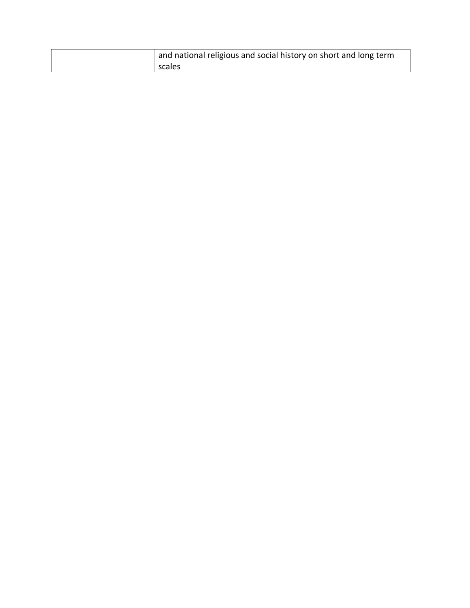| and national religious and social history on short and long term |
|------------------------------------------------------------------|
| scales                                                           |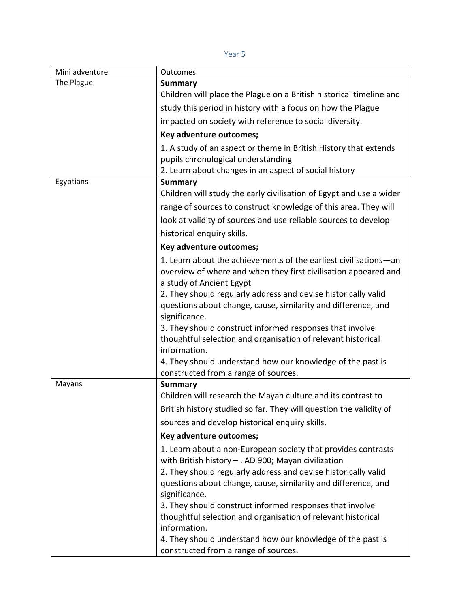| Mini adventure | Outcomes                                                                                                                            |
|----------------|-------------------------------------------------------------------------------------------------------------------------------------|
| The Plague     | <b>Summary</b>                                                                                                                      |
|                | Children will place the Plague on a British historical timeline and                                                                 |
|                | study this period in history with a focus on how the Plague                                                                         |
|                | impacted on society with reference to social diversity.                                                                             |
|                | Key adventure outcomes;                                                                                                             |
|                | 1. A study of an aspect or theme in British History that extends                                                                    |
|                | pupils chronological understanding                                                                                                  |
|                | 2. Learn about changes in an aspect of social history                                                                               |
| Egyptians      | <b>Summary</b>                                                                                                                      |
|                | Children will study the early civilisation of Egypt and use a wider                                                                 |
|                | range of sources to construct knowledge of this area. They will                                                                     |
|                | look at validity of sources and use reliable sources to develop                                                                     |
|                | historical enquiry skills.                                                                                                          |
|                | Key adventure outcomes;                                                                                                             |
|                | 1. Learn about the achievements of the earliest civilisations-an<br>overview of where and when they first civilisation appeared and |
|                | a study of Ancient Egypt                                                                                                            |
|                | 2. They should regularly address and devise historically valid<br>questions about change, cause, similarity and difference, and     |
|                | significance.                                                                                                                       |
|                | 3. They should construct informed responses that involve                                                                            |
|                | thoughtful selection and organisation of relevant historical                                                                        |
|                | information.                                                                                                                        |
|                | 4. They should understand how our knowledge of the past is                                                                          |
|                | constructed from a range of sources.                                                                                                |
| Mayans         | <b>Summary</b><br>Children will research the Mayan culture and its contrast to                                                      |
|                | British history studied so far. They will question the validity of                                                                  |
|                |                                                                                                                                     |
|                | sources and develop historical enquiry skills.                                                                                      |
|                | Key adventure outcomes;                                                                                                             |
|                | 1. Learn about a non-European society that provides contrasts                                                                       |
|                | with British history - . AD 900; Mayan civilization<br>2. They should regularly address and devise historically valid               |
|                | questions about change, cause, similarity and difference, and                                                                       |
|                | significance.                                                                                                                       |
|                | 3. They should construct informed responses that involve                                                                            |
|                | thoughtful selection and organisation of relevant historical                                                                        |
|                | information.                                                                                                                        |
|                | 4. They should understand how our knowledge of the past is                                                                          |
|                | constructed from a range of sources.                                                                                                |